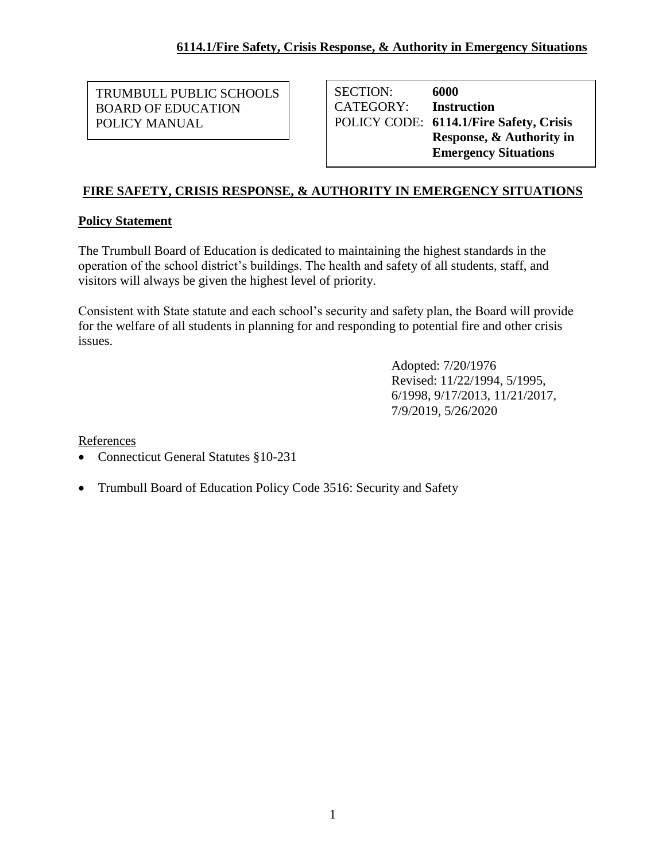TRUMBULL PUBLIC SCHOOLS BOARD OF EDUCATION POLICY MANUAL

SECTION: **6000** CATEGORY: **Instruction** POLICY CODE: **6114.1/Fire Safety, Crisis Response, & Authority in Emergency Situations**

## **FIRE SAFETY, CRISIS RESPONSE, & AUTHORITY IN EMERGENCY SITUATIONS**

## **Policy Statement**

The Trumbull Board of Education is dedicated to maintaining the highest standards in the operation of the school district's buildings. The health and safety of all students, staff, and visitors will always be given the highest level of priority.

Consistent with State statute and each school's security and safety plan, the Board will provide for the welfare of all students in planning for and responding to potential fire and other crisis issues.

> Adopted: 7/20/1976 Revised: 11/22/1994, 5/1995, 6/1998, 9/17/2013, 11/21/2017, 7/9/2019, 5/26/2020

**References** 

- Connecticut General Statutes §10-231
- Trumbull Board of Education Policy Code 3516: Security and Safety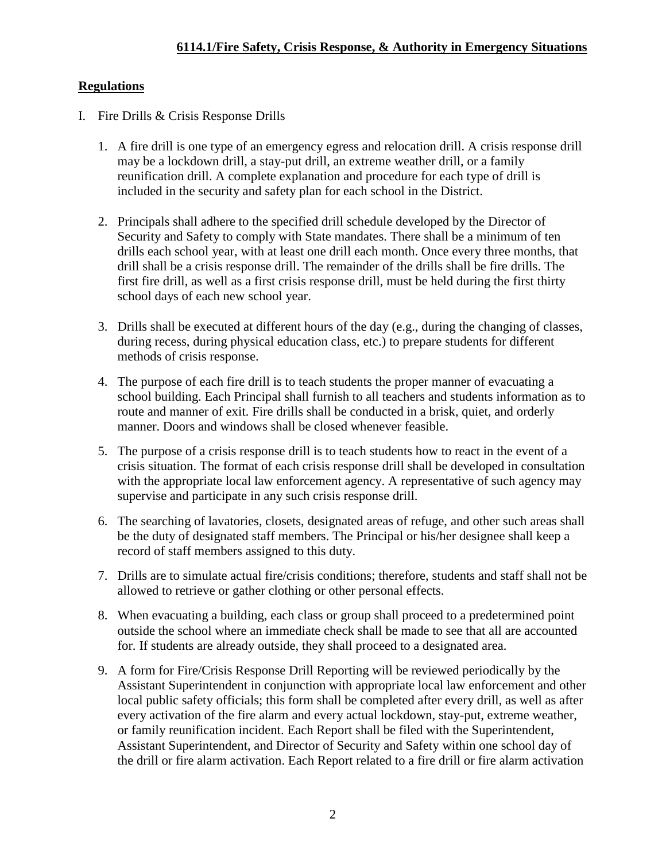## **Regulations**

- I. Fire Drills & Crisis Response Drills
	- 1. A fire drill is one type of an emergency egress and relocation drill. A crisis response drill may be a lockdown drill, a stay-put drill, an extreme weather drill, or a family reunification drill. A complete explanation and procedure for each type of drill is included in the security and safety plan for each school in the District.
	- 2. Principals shall adhere to the specified drill schedule developed by the Director of Security and Safety to comply with State mandates. There shall be a minimum of ten drills each school year, with at least one drill each month. Once every three months, that drill shall be a crisis response drill. The remainder of the drills shall be fire drills. The first fire drill, as well as a first crisis response drill, must be held during the first thirty school days of each new school year.
	- 3. Drills shall be executed at different hours of the day (e.g., during the changing of classes, during recess, during physical education class, etc.) to prepare students for different methods of crisis response.
	- 4. The purpose of each fire drill is to teach students the proper manner of evacuating a school building. Each Principal shall furnish to all teachers and students information as to route and manner of exit. Fire drills shall be conducted in a brisk, quiet, and orderly manner. Doors and windows shall be closed whenever feasible.
	- 5. The purpose of a crisis response drill is to teach students how to react in the event of a crisis situation. The format of each crisis response drill shall be developed in consultation with the appropriate local law enforcement agency. A representative of such agency may supervise and participate in any such crisis response drill.
	- 6. The searching of lavatories, closets, designated areas of refuge, and other such areas shall be the duty of designated staff members. The Principal or his/her designee shall keep a record of staff members assigned to this duty.
	- 7. Drills are to simulate actual fire/crisis conditions; therefore, students and staff shall not be allowed to retrieve or gather clothing or other personal effects.
	- 8. When evacuating a building, each class or group shall proceed to a predetermined point outside the school where an immediate check shall be made to see that all are accounted for. If students are already outside, they shall proceed to a designated area.
	- 9. A form for Fire/Crisis Response Drill Reporting will be reviewed periodically by the Assistant Superintendent in conjunction with appropriate local law enforcement and other local public safety officials; this form shall be completed after every drill, as well as after every activation of the fire alarm and every actual lockdown, stay-put, extreme weather, or family reunification incident. Each Report shall be filed with the Superintendent, Assistant Superintendent, and Director of Security and Safety within one school day of the drill or fire alarm activation. Each Report related to a fire drill or fire alarm activation